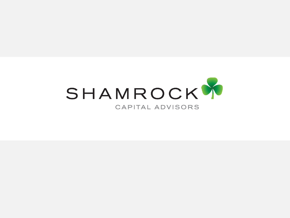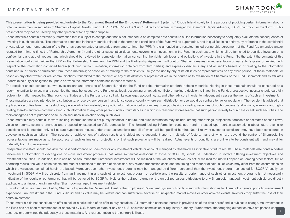## IMPORTANT NOTICE



This presentation is being provided exclusively to the Retirement Board of the Employees' Retirement System of Rhode Island solely for the purpose of providing certain information about a potential investment in securities of Shamrock Capital Growth Fund V, L.P. ("SCGF V" or the "Fund"), directly or indirectly managed by Shamrock Capital Advisors, LLC ("Shamrock", or the "Firm"). This presentation may not be used by any other person or for any other purpose.

These materials contain preliminary information that is subject to change and that is not intended to be complete or to constitute all the information necessary to adequately evaluate the consequences of investing in such securities. The information contained in these materials related to the terms and conditions of the Fund will be superseded, and is qualified in its entirety, by reference to the confidential private placement memorandum of the Fund (as supplemented or amended from time to time, the "PPM"), the amended and restated limited partnership agreement of the Fund (as amended and/or restated from time to time, the "Partnership Agreement") and the other subscription documents governing an investment in the Fund, in each case, which shall be furnished to qualified investors on a confidential basis at their request and which should be reviewed for complete information concerning the rights, privileges and obligations of investors in the Fund. To the extent the contents of this presentation conflict with either the PPM or the Partnership Agreement, the PPM and the Partnership Agreement will control. Shamrock makes no representation or warranty (express or implied) with respect to the information contained herein (including, without limitation, information obtained from third parties) and expressly disclaims any and all liability based on or relating to the information contained in, or errors or omissions from, these materials; or based on or relating to the recipient's use (or the use by any of its affiliates or representatives or any other person) of these materials; or based on any other written or oral communications transmitted to the recipient or any of its affiliates or representatives in the course of its evaluation of Shamrock or the Fund. Shamrock and its affiliates undertake no duty or obligation to update or revise the information contained in these materials.

The recipient should conduct its own investigations and analyses of Shamrock and the the Fund and the information set forth in these materials. Nothing in these materials should be construed as a recommendation to invest in any securities that may be issued by the Fund or as legal, accounting or tax advice. Before making a decision to invest in the Fund, a prospective investor should carefully review information respecting Shamrock, its affiliates and the Fund and consult with its own legal, accounting, tax and other advisors in order to independently assess the merits of such an investment.

These materials are not intended for distribution to, or use by, any person in any jurisdiction or country where such distribution or use would be contrary to law or regulation. The recipient is advised that applicable securities laws may restrict any person who has material, nonpublic information about a company from purchasing or selling securities of such company (and options, warrants and rights relating thereto) and from communicating such information to any other person under circumstances in which it is reasonably foreseeable that such person is likely to purchase or sell such securities. The recipient agrees not to purchase or sell such securities in violation of any such laws.

These materials may contain "forward-looking" information that is not purely historical in nature, and such information may include, among other things, projections, forecasts or estimates of cash flows, yields or returns, scenario analyses and proposed or expected portfolio composition. The forward-looking information contained herein is based upon certain assumptions about future events or conditions and is intended only to illustrate hypothetical results under those assumptions (not all of which will be specified herein). Not all relevant events or conditions may have been considered in developing such assumptions. The success or achievement of various results and objectives is dependent upon a multitude of factors, many of which are beyond the control of Shamrock. No representations are made as to the accuracy of such estimates or projections or that such projections will be realized. Actual events or conditions are unlikely to be consistent with, and may differ materially from, those assumed.

Prospective investors should not view the past performance of Shamrock or any investment vehicle or account managed by Shamrock as indicative of future results. These materials also contain certain performance information respecting one or more investment programs that, while somewhat analogous to those of SCGF V, should be understood to involve differing investment objectives and investment securities. In addition, there can be no assurance that unrealized investments will be realized at the valuations shown, as actual realized returns will depend on, among other factors, future operating results, the value of the assets and market conditions at the time of disposition, any related transaction costs and the timing and manner of sale, all of which may differ from the assumptions on which the valuations contained herein are based. Moreover, such other investment programs may be managed by different personnel than the investment program conducted for SCGF V. Lastly, an investment in SCGF V will be discrete from an investment in any such other investment program or portfolio and the results or performance of such other investment programs is not necessarily indicative of the results or performance that will be achieved by SCGF V. Neither the realized returns nor the unrealized values attributable to any Shamrock-managed investment vehicle are directly applicable to an investment in any other Shamrock-managed investment vehicle.

This information has been supplied by Shamrock to provide the Retirement Board of the Employees' Retirement System of Rhode Island with information as to Shamrock's general portfolio management experience. An investment in the Fund is illiquid and its value may be volatile and can suffer from adverse or unexpected market moves or other adverse events. Investors may suffer the loss of their entire investment.

**2** These materials do not constitute an offer to sell or a solicitation of an offer to buy securities. All information contained herein is provided as of the date hereof and is subject to change. An investment in the Fund has not been recommended or approved by U.S. federal or state or any non-U.S. securities commission or regulatory authority. Furthermore, the foregoing authorities have not passed upo accuracy or determined the adequacy of these materials. Any representation to the contrary is illegal.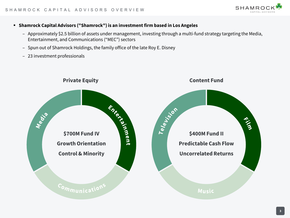

- **Shamrock Capital Advisors ("Shamrock") is an investment firm based in Los Angeles**
	- ‒ Approximately \$2.5 billion of assets under management, investing through a multi-fund strategy targeting the Media, Entertainment, and Communications ("MEC") sectors
	- Spun out of Shamrock Holdings, the family office of the late Roy E. Disney
	- ‒ 23 investment professionals

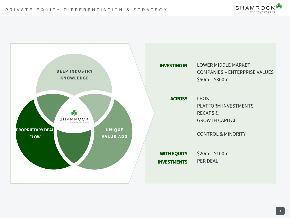

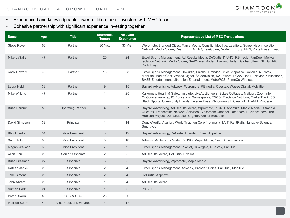

- Experienced and knowledgeable lower middle market investors with MEC focus
- Cohesive partnership with significant experience investing together

| <b>Name</b>           | Age | <b>Title</b>             | <b>Shamrock</b><br><b>Tenure</b> | <b>Relevant</b><br><b>Experience</b> | <b>Representative List of MEC Transactions</b>                                                                                                                                                                                                                                  |
|-----------------------|-----|--------------------------|----------------------------------|--------------------------------------|---------------------------------------------------------------------------------------------------------------------------------------------------------------------------------------------------------------------------------------------------------------------------------|
| Steve Royer           | 56  | Partner                  | 30 Yrs.                          | 33 Yrs.                              | Wpromote, Branded Cities, Maple Media, Consilio, Mobilitie, Learfield, Screenvision, Isolation<br>Network, Media Storm, RealD, NETGEAR, TeleGuam, Modern Luxury, PRN, PortalPlayer, Triad                                                                                       |
| Mike LaSalle          | 47  | Partner                  | 20                               | 24                                   | Excel Sports Management, Ad Results Media, DeCurtis, IYUNO, RBmedia, FanDuel, Mojiva,<br>Isolation Network, Media Storm, NextWave, Modern Luxury, Harlem Globetrotters, NETGEAR,<br>PortalPlayer                                                                                |
| Andy Howard           | 45  | Partner                  | 15                               | 23                                   | Excel Sports Management, DeCurtis, Pixellot, Branded Cities, Appetize, Consilio, Questex,<br>Mobilitie, MarketCast, Wazee Digital, Screenvision, K2 Towers, PGoA, RealD, Naylor Publications,<br>BASE Entertainment, Liberation Entertainment, MetroPCS, PrimeCo Wireless       |
| Laura Held            | 38  | Partner                  | 9                                | 15                                   | Bayard Advertising, Adweek, Wpromote, RBmedia, Questex, Wazee Digital, Mobilitie                                                                                                                                                                                                |
| <b>Mike Wilkins</b>   | 47  | Partner                  | $\overline{1}$                   | 25                                   | Kalkomey, Health & Safety Institute, LiveAuctioneers, Sykes Cottages, Mailgun, ZoomInfo,<br>OnCourseLearning, IO Education, Gamesparks, EXOS, Precision Nutrition, MarketTrack, SSI,<br>Stack Sports, Community Brands, Leisure Pass, Phocuswright, Clearlink, TheMill, Prodege |
| <b>Brian Barnum</b>   | 56  | <b>Operating Partner</b> | $\overline{4}$                   | 27                                   | Bayard Advertising, Ad Results Media, Wpromote, IYUNO, Appetize, Maple Media, RBmedia,<br>Questex, Transaction Network Services, Classroom Connect, Rent.com, Business.com, The<br>Rubicon Project, Demandbase, Brighter, Archer Education                                      |
| David Simpson         | 39  | Principal                | $\mathbf{1}$                     | 14                                   | DoubleVerify, Asurion, World Triathlon Corp (Ironman), TAIT, RentPath, Narrative Science,<br>Smartly.io                                                                                                                                                                         |
| <b>Blair Brenton</b>  | 34  | <b>Vice President</b>    | 3                                | 12                                   | Bayard Advertising, DeCurtis, Branded Cities, Appetize                                                                                                                                                                                                                          |
| Sam Halls             | 33  | <b>Vice President</b>    | 5                                | 10                                   | Adweek, Ad Results Media, IYUNO, Maple Media, Giant, Screenvision                                                                                                                                                                                                               |
| Megan Wallach         | 30  | <b>Vice President</b>    | $\overline{7}$                   | 9                                    | Excel Sports Management, Pixellot, Silvergate, Questex, FanDuel                                                                                                                                                                                                                 |
| Alicia Zhu            | 28  | Senior Associate         | 2                                | 5                                    | Ad Results Media, DeCurtis, Pixellot                                                                                                                                                                                                                                            |
| <b>Brian Graziano</b> | 27  | Associate                | 3                                | $5\overline{)}$                      | Bayard Advertising, Wpromote, Maple Media                                                                                                                                                                                                                                       |
| Nathan Janick         | 26  | Associate                | 2                                | 4                                    | Excel Sports Management, Adweek, Branded Cities, FanDuel, Mobilitie                                                                                                                                                                                                             |
| <b>Jake Simons</b>    | 26  | Associate                | $\overline{2}$                   | $\overline{4}$                       | DeCurtis, Appetize                                                                                                                                                                                                                                                              |
| John Abram            | 25  | Associate                | $\mathbf{1}$                     | 4                                    | Ad Results Media                                                                                                                                                                                                                                                                |
| Suman Padhi           | 24  | Associate                | $\mathbf{1}$                     | 3                                    | <b>IYUNO</b>                                                                                                                                                                                                                                                                    |
| Peter Rivera          | 58  | CFO & CCO                | 25                               | 26                                   |                                                                                                                                                                                                                                                                                 |
| Melissa Beam          | 41  | Vice President, Finance  | $\overline{4}$                   | 17                                   |                                                                                                                                                                                                                                                                                 |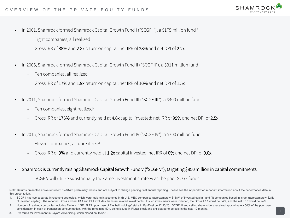- In 2001, Shamrock formed Shamrock Capital Growth Fund I ("SCGF I"), a \$175 million fund <sup>1</sup>
	- ‒ Eight companies, all realized
	- ‒ Gross IRR of 38% and 2.8x return on capital; net IRR of 28% and net DPI of 2.2x
- In 2006, Shamrock formed Shamrock Capital Growth Fund II ("SCGF II"), a \$311 million fund
	- ‒ Ten companies, all realized
	- ‒ Gross IRR of 17% and 1.9x return on capital; net IRR of 10% and net DPI of 1.5x
- In 2011, Shamrock formed Shamrock Capital Growth Fund III ("SCGF III"), a \$400 million fund
	- Ten companies, eight realized<sup>2</sup>
	- ‒ Gross IRR of 176% and currently held at 4.6x capital invested; net IRR of 99% and net DPI of 2.5x
- In 2015, Shamrock formed Shamrock Capital Growth Fund IV ("SCGF IV"), a \$700 million fund
	- Eleven companies, all unrealized<sup>3</sup>
	- Gross IRR of 9% and currently held at 1.2x capital invested; net IRR of 0% and net DPI of 0.0x
- Shamrock is currently raising Shamrock Capital Growth Fund V ("SCGF V"), targeting \$850 million in capital commitments
	- ‒ SCGF V will utilize substantially the same investment strategy as the prior SCGF funds

- SCGF I had two separate investment strategies, which were making investments in (i) U.S. MEC companies (approximately \$138M of invested capital) and (ii) companies based in Israel (approximately \$24M of invested capital). The reported Gross and net IRR and DPI excludes the Israel related investments. If such investments were included, the Gross IRR would be 34%, and the net IRR would be 24%.
- 2. Number of realized companies includes Flutter's (LSE: FLTR) purchase of Fastball Holdings' stake in FanDuel on 12/30/20. SCGF III and selling shareholders received approximately 50% of the purchase consideration in cash at transaction consummation, with the remaining 50% being issued in Flutter stock and anticipated to be sold in the next 12 months.
- 3. Pro forma for investment in Bayard Advertising, which closed on 1/26/21.



Note: Returns presented above represent 12/31/20 preliminary results and are subject to change pending final annual reporting. Please see the Appendix for important information about the performance data in this presentation.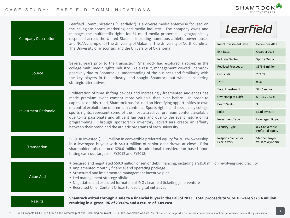

| Learfield Communications ("Learfield") is a diverse media enterprise focused on<br>the collegiate sports marketing and media industry. The company owns and<br>manages the multimedia rights for 54 multi media properties - geographically<br>dispersed across the United States - including numerous athletic powerhouses | Learfield                           |                                    |  |  |  |  |
|-----------------------------------------------------------------------------------------------------------------------------------------------------------------------------------------------------------------------------------------------------------------------------------------------------------------------------|-------------------------------------|------------------------------------|--|--|--|--|
| and NCAA champions (The University of Alabama, The University of North Carolina,<br>The University of Wisconsin, and the University of Oklahoma).                                                                                                                                                                           | Initial Investment Date:            | December 2011                      |  |  |  |  |
|                                                                                                                                                                                                                                                                                                                             | <b>Exit Date:</b>                   | October 2013                       |  |  |  |  |
|                                                                                                                                                                                                                                                                                                                             | <b>Industry Sector:</b>             | <b>Sports Media</b>                |  |  |  |  |
| Several years prior to the transaction, Shamrock had explored a roll-up in the<br>college multi media rights industry. As a result, management viewed Shamrock                                                                                                                                                              | <b>Realized Proceeds:</b>           | \$375.6 million                    |  |  |  |  |
| positively due to Shamrock's understanding of the business and familiarity with<br>the key players in the industry, and sought Shamrock out when considering                                                                                                                                                                | Gross IRR:                          | 239.6%                             |  |  |  |  |
| strategic alternatives.                                                                                                                                                                                                                                                                                                     | TVPI:                               | 9.0x                               |  |  |  |  |
|                                                                                                                                                                                                                                                                                                                             | Total Investment:                   | \$41.6 million                     |  |  |  |  |
| Proliferation of time shifting devices and increasingly fragmented audiences has<br>made premium event content more valuable than ever before. In order to                                                                                                                                                                  | Ownership at Exit <sup>1</sup> :    | 63.1% / 72.0%                      |  |  |  |  |
| capitalize on this trend, Shamrock has focused on identifying opportunities to own<br>or control exploitation of premium content. Sports rights, and specifically college                                                                                                                                                   | <b>Board Seats:</b>                 | 3                                  |  |  |  |  |
| sports rights, represent some of the most attractive, premium content available                                                                                                                                                                                                                                             | Role:                               | Lead Investor                      |  |  |  |  |
| due to its passionate and affluent fan base and due to the event nature of its<br>programming. Through sponsorship inventory, advertisers create an affinity                                                                                                                                                                | Investment Type:                    | Leveraged Buyout                   |  |  |  |  |
| between their brand and the athletic programs of each university.                                                                                                                                                                                                                                                           | Security Type:                      | 8% Convertible<br>Preferred Equity |  |  |  |  |
| SCGF III invested \$35.5 million in convertible preferred equity for 70.1% ownership<br>in a leveraged buyout with \$40.0 million of senior debt drawn at close. Prior                                                                                                                                                      | Responsible Senior<br>Executive(s): | Stephen Royer<br>William Wynperle  |  |  |  |  |
| shareholders also earned \$20.0 million in additional consideration based upon<br>hitting earn-out targets in FY2012 and FY2013.                                                                                                                                                                                            |                                     |                                    |  |  |  |  |
| " Secured and negotiated \$50.0 million of senior debt financing, including a \$35.0 million revolving credit facility                                                                                                                                                                                                      |                                     |                                    |  |  |  |  |

- **Implemented monthly financial and operating package**
- **Structured and implemented management incentive plan**
- **Led management strategy offsite** 
	- Negotiated and executed formation of IMG / Learfield ticketing joint venture
	- Recruited Chief Content Officer to lead digital initiatives

### Results

Value-Add

Company Description

Source

Investment Rationale

**Transaction** 

Shamrock exited through a sale to a financial buyer in the Fall of 2013. Total proceeds to SCGF III were \$375.6 million **resulting in a gross IRR of 239.6% and a return of 9.0x cost**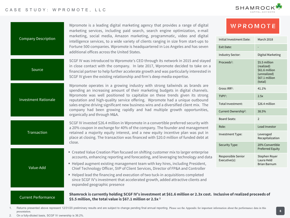# CASE STUDY: WPROMOTE, LLC



|                             | Wpromote is a leading digital marketing agency that provides a range of digital<br>marketing services, including paid search, search engine optimization, e-mail                                                                                                                                                                        | WPROMOTE                            |                                                                                            |
|-----------------------------|-----------------------------------------------------------------------------------------------------------------------------------------------------------------------------------------------------------------------------------------------------------------------------------------------------------------------------------------|-------------------------------------|--------------------------------------------------------------------------------------------|
| <b>Company Description</b>  | marketing, social media, Amazon marketing, programmatic, video and digital<br>intelligence services, to a wide variety of clients ranging in size from start-ups to                                                                                                                                                                     | Initial Investment Date:            | March 2018                                                                                 |
|                             | Fortune 500 companies. Wpromote is headquartered in Los Angeles and has seven<br>additional offices across the United States.                                                                                                                                                                                                           | Exit Date:                          |                                                                                            |
|                             |                                                                                                                                                                                                                                                                                                                                         | <b>Industry Sector:</b>             | Digital Marketing                                                                          |
| Source                      | SCGF IV was introduced to Wpromote's CEO through its network in 2015 and stayed<br>in close contact with the company. In late 2017, Wpromote decided to take on a<br>financial partner to help further accelerate growth and was particularly interested in<br>SCGF IV given the existing relationship and firm's deep media expertise. |                                     | \$5.5 million<br>(realized)<br>\$61.6 million<br>(unrealized)<br>\$67.1 million<br>(total) |
|                             | Wpromote operates in a growing industry with strong tailwinds as brands are<br>spending an increasing amount of their marketing budgets in digital channels.                                                                                                                                                                            | Gross IRR1:                         | 41.1%                                                                                      |
| <b>Investment Rationale</b> | Wpromote was well positioned to capitalize on these trends given its strong<br>reputation and high-quality service offering. Wpromote had a unique outbound                                                                                                                                                                             | TVPI:                               | 2.5x                                                                                       |
|                             | sales engine driving significant new business wins and a diversified client mix. The                                                                                                                                                                                                                                                    | Total Investment:                   | \$26.4 million                                                                             |
|                             | company had been growing rapidly and had multiple growth opportunities,<br>organically and through M&A.                                                                                                                                                                                                                                 | Current Ownership <sup>2</sup> :    | 38.5%                                                                                      |
|                             | SCGF IV invested \$26.4 million in Wpromote in a convertible preferred security with                                                                                                                                                                                                                                                    | <b>Board Seats:</b>                 | $\overline{2}$                                                                             |
|                             | a 20% coupon in exchange for 40% of the company. The founder and management                                                                                                                                                                                                                                                             | Role:                               | Lead Investor                                                                              |
| Transaction                 | retained a majority equity interest, and a new equity incentive plan was put in<br>place at closing. The transaction was financed with \$20.0 million of funded debt at                                                                                                                                                                 | Investment Type:                    | Leveraged<br>Recapitalization                                                              |
|                             | close.                                                                                                                                                                                                                                                                                                                                  | Security Type:                      | 20% Convertible<br><b>Preferred Equity</b>                                                 |
|                             | " Created Value Creation Plan focused on shifting customer mix to larger enterprise<br>accounts, enhancing reporting and forecasting, and leveraging technology and data                                                                                                                                                                | Responsible Senior<br>Executive(s): | Stephen Royer<br>Laura Held<br><b>Brian Barnum</b>                                         |
| Value-Add                   | " Helped augment existing management team with key hires, including President,<br>Chief Technology Officer, SVP of Client Services, Director of FP&A and Controller                                                                                                                                                                     |                                     |                                                                                            |
|                             | ■ Helped lead the financing and execution of two tuck-in acquisitions completed<br>since SCGF IV's investment that accelerated growth, added attractive clients and<br>expanded geographic presence                                                                                                                                     |                                     |                                                                                            |
| <b>Current Performance</b>  | Shamrock is currently holding SCGF IV's investment at \$61.6 million or 2.3x cost. Inclusive of realized proceeds of<br>\$5.5 million, the total value is \$67.1 million or 2.5x <sup>1</sup>                                                                                                                                           |                                     |                                                                                            |

<sup>1.</sup> Returns presented above represent 12/31/20 preliminary results and are subject to change pending final annual reporting. Please see the Appendix for important information about the performance data in this presentation.

2. On a fully-diluted basis, SCGF IV ownership is 36.2%.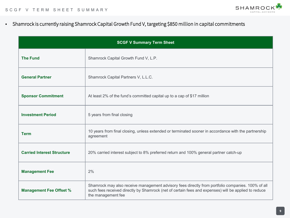

Shamrock is currently raising Shamrock Capital Growth Fund V, targeting \$850 million in capital commitments

| <b>SCGF V Summary Term Sheet</b>  |                                                                                                                                                                                                                                 |  |  |  |
|-----------------------------------|---------------------------------------------------------------------------------------------------------------------------------------------------------------------------------------------------------------------------------|--|--|--|
| <b>The Fund</b>                   | Shamrock Capital Growth Fund V, L.P.                                                                                                                                                                                            |  |  |  |
| <b>General Partner</b>            | Shamrock Capital Partners V, L.L.C.                                                                                                                                                                                             |  |  |  |
| <b>Sponsor Commitment</b>         | At least 2% of the fund's committed capital up to a cap of \$17 million                                                                                                                                                         |  |  |  |
| <b>Investment Period</b>          | 5 years from final closing                                                                                                                                                                                                      |  |  |  |
| <b>Term</b>                       | 10 years from final closing, unless extended or terminated sooner in accordance with the partnership<br>agreement                                                                                                               |  |  |  |
| <b>Carried Interest Structure</b> | 20% carried interest subject to 8% preferred return and 100% general partner catch-up                                                                                                                                           |  |  |  |
| <b>Management Fee</b>             | 2%                                                                                                                                                                                                                              |  |  |  |
| <b>Management Fee Offset %</b>    | Shamrock may also receive management advisory fees directly from portfolio companies. 100% of all<br>such fees received directly by Shamrock (net of certain fees and expenses) will be applied to reduce<br>the management fee |  |  |  |